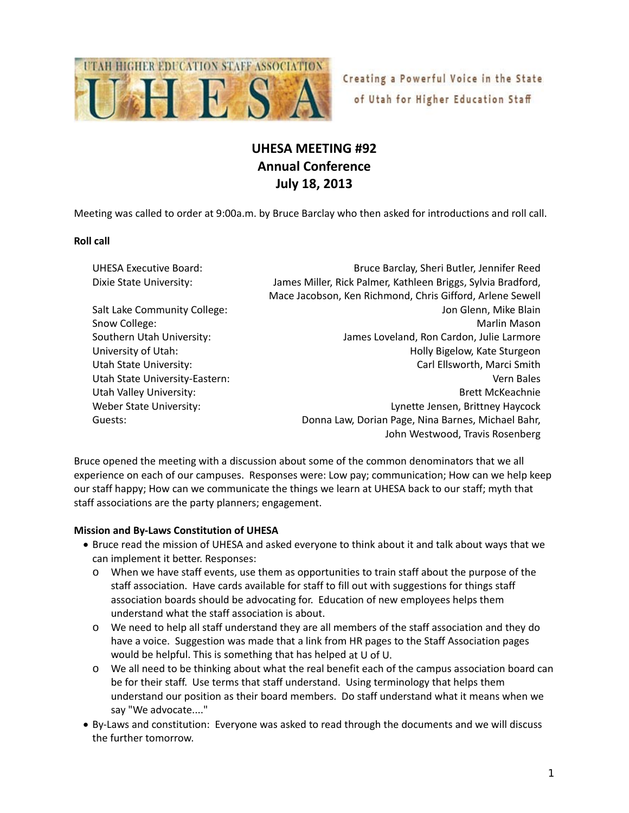

Creating a Powerful Voice in the State of Utah for Higher Education Staff

# **UHESA MEETING #92 Annual Conference July 18, 2013**

Meeting was called to order at 9:00a.m. by Bruce Barclay who then asked for introductions and roll call.

#### **Roll call**

| <b>UHESA Executive Board:</b>  | Bruce Barclay, Sheri Butler, Jennifer Reed                   |
|--------------------------------|--------------------------------------------------------------|
| Dixie State University:        | James Miller, Rick Palmer, Kathleen Briggs, Sylvia Bradford, |
|                                | Mace Jacobson, Ken Richmond, Chris Gifford, Arlene Sewell    |
| Salt Lake Community College:   | Jon Glenn, Mike Blain                                        |
| Snow College:                  | Marlin Mason                                                 |
| Southern Utah University:      | James Loveland, Ron Cardon, Julie Larmore                    |
| University of Utah:            | Holly Bigelow, Kate Sturgeon                                 |
| Utah State University:         | Carl Ellsworth, Marci Smith                                  |
| Utah State University-Eastern: | Vern Bales                                                   |
| Utah Valley University:        | <b>Brett McKeachnie</b>                                      |
| Weber State University:        | Lynette Jensen, Brittney Haycock                             |
| Guests:                        | Donna Law, Dorian Page, Nina Barnes, Michael Bahr,           |
|                                | John Westwood, Travis Rosenberg                              |

Bruce opened the meeting with a discussion about some of the common denominators that we all experience on each of our campuses. Responses were: Low pay; communication; How can we help keep our staff happy; How can we communicate the things we learn at UHESA back to our staff; myth that staff associations are the party planners; engagement.

## **Mission and By‐Laws Constitution of UHESA**

- Bruce read the mission of UHESA and asked everyone to think about it and talk about ways that we can implement it better. Responses:
	- o When we have staff events, use them as opportunities to train staff about the purpose of the staff association. Have cards available for staff to fill out with suggestions for things staff association boards should be advocating for. Education of new employees helps them understand what the staff association is about.
	- o We need to help all staff understand they are all members of the staff association and they do have a voice. Suggestion was made that a link from HR pages to the Staff Association pages would be helpful. This is something that has helped at U of U.
	- o We all need to be thinking about what the real benefit each of the campus association board can be for their staff. Use terms that staff understand. Using terminology that helps them understand our position as their board members. Do staff understand what it means when we say "We advocate...."
- By-Laws and constitution: Everyone was asked to read through the documents and we will discuss the further tomorrow.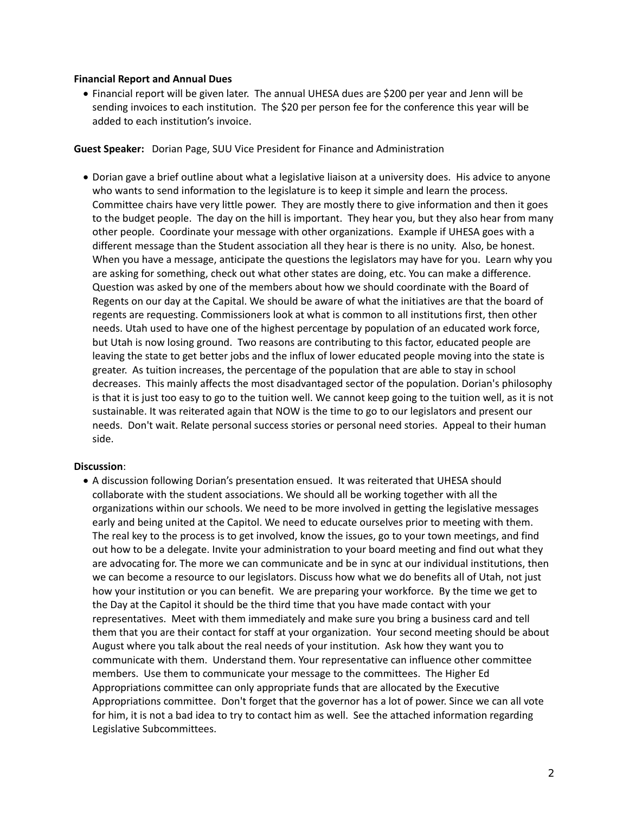#### **Financial Report and Annual Dues**

 Financial report will be given later. The annual UHESA dues are \$200 per year and Jenn will be sending invoices to each institution. The \$20 per person fee for the conference this year will be added to each institution's invoice.

**Guest Speaker:** Dorian Page, SUU Vice President for Finance and Administration

 Dorian gave a brief outline about what a legislative liaison at a university does. His advice to anyone who wants to send information to the legislature is to keep it simple and learn the process. Committee chairs have very little power. They are mostly there to give information and then it goes to the budget people. The day on the hill is important. They hear you, but they also hear from many other people. Coordinate your message with other organizations. Example if UHESA goes with a different message than the Student association all they hear is there is no unity. Also, be honest. When you have a message, anticipate the questions the legislators may have for you. Learn why you are asking for something, check out what other states are doing, etc. You can make a difference. Question was asked by one of the members about how we should coordinate with the Board of Regents on our day at the Capital. We should be aware of what the initiatives are that the board of regents are requesting. Commissioners look at what is common to all institutions first, then other needs. Utah used to have one of the highest percentage by population of an educated work force, but Utah is now losing ground. Two reasons are contributing to this factor, educated people are leaving the state to get better jobs and the influx of lower educated people moving into the state is greater. As tuition increases, the percentage of the population that are able to stay in school decreases. This mainly affects the most disadvantaged sector of the population. Dorian's philosophy is that it is just too easy to go to the tuition well. We cannot keep going to the tuition well, as it is not sustainable. It was reiterated again that NOW is the time to go to our legislators and present our needs. Don't wait. Relate personal success stories or personal need stories. Appeal to their human side.

#### **Discussion**:

 A discussion following Dorian's presentation ensued. It was reiterated that UHESA should collaborate with the student associations. We should all be working together with all the organizations within our schools. We need to be more involved in getting the legislative messages early and being united at the Capitol. We need to educate ourselves prior to meeting with them. The real key to the process is to get involved, know the issues, go to your town meetings, and find out how to be a delegate. Invite your administration to your board meeting and find out what they are advocating for. The more we can communicate and be in sync at our individual institutions, then we can become a resource to our legislators. Discuss how what we do benefits all of Utah, not just how your institution or you can benefit. We are preparing your workforce. By the time we get to the Day at the Capitol it should be the third time that you have made contact with your representatives. Meet with them immediately and make sure you bring a business card and tell them that you are their contact for staff at your organization. Your second meeting should be about August where you talk about the real needs of your institution. Ask how they want you to communicate with them. Understand them. Your representative can influence other committee members. Use them to communicate your message to the committees. The Higher Ed Appropriations committee can only appropriate funds that are allocated by the Executive Appropriations committee. Don't forget that the governor has a lot of power. Since we can all vote for him, it is not a bad idea to try to contact him as well. See the attached information regarding Legislative Subcommittees.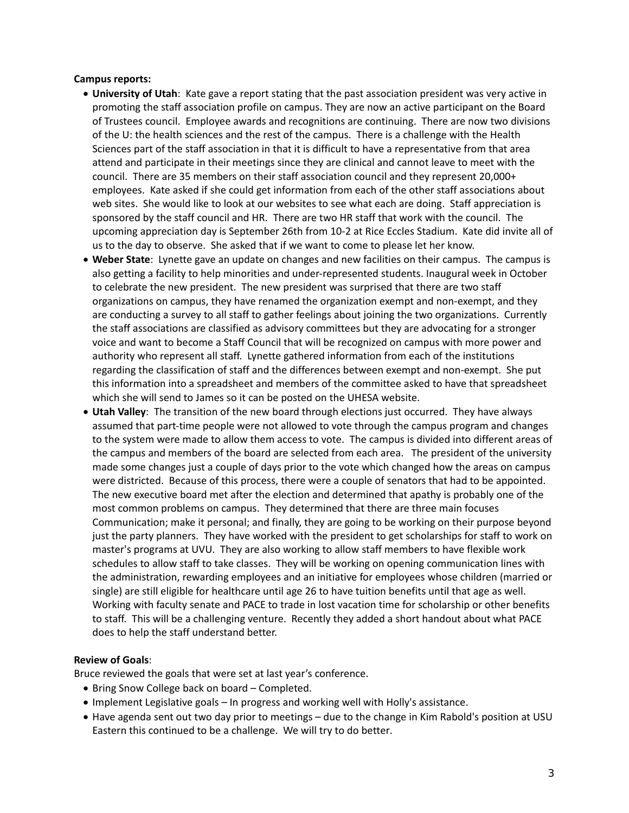#### **Campus reports:**

- **University of Utah**: Kate gave a report stating that the past association president was very active in promoting the staff association profile on campus. They are now an active participant on the Board of Trustees council. Employee awards and recognitions are continuing. There are now two divisions of the U: the health sciences and the rest of the campus. There is a challenge with the Health Sciences part of the staff association in that it is difficult to have a representative from that area attend and participate in their meetings since they are clinical and cannot leave to meet with the council. There are 35 members on their staff association council and they represent 20,000+ employees. Kate asked if she could get information from each of the other staff associations about web sites. She would like to look at our websites to see what each are doing. Staff appreciation is sponsored by the staff council and HR. There are two HR staff that work with the council. The upcoming appreciation day is September 26th from 10‐2 at Rice Eccles Stadium. Kate did invite all of us to the day to observe. She asked that if we want to come to please let her know.
- **Weber State**: Lynette gave an update on changes and new facilities on their campus. The campus is also getting a facility to help minorities and under‐represented students. Inaugural week in October to celebrate the new president. The new president was surprised that there are two staff organizations on campus, they have renamed the organization exempt and non‐exempt, and they are conducting a survey to all staff to gather feelings about joining the two organizations. Currently the staff associations are classified as advisory committees but they are advocating for a stronger voice and want to become a Staff Council that will be recognized on campus with more power and authority who represent all staff. Lynette gathered information from each of the institutions regarding the classification of staff and the differences between exempt and non‐exempt. She put this information into a spreadsheet and members of the committee asked to have that spreadsheet which she will send to James so it can be posted on the UHESA website.
- **Utah Valley**: The transition of the new board through elections just occurred. They have always assumed that part‐time people were not allowed to vote through the campus program and changes to the system were made to allow them access to vote. The campus is divided into different areas of the campus and members of the board are selected from each area. The president of the university made some changes just a couple of days prior to the vote which changed how the areas on campus were districted. Because of this process, there were a couple of senators that had to be appointed. The new executive board met after the election and determined that apathy is probably one of the most common problems on campus. They determined that there are three main focuses Communication; make it personal; and finally, they are going to be working on their purpose beyond just the party planners. They have worked with the president to get scholarships for staff to work on master's programs at UVU. They are also working to allow staff members to have flexible work schedules to allow staff to take classes. They will be working on opening communication lines with the administration, rewarding employees and an initiative for employees whose children (married or single) are still eligible for healthcare until age 26 to have tuition benefits until that age as well. Working with faculty senate and PACE to trade in lost vacation time for scholarship or other benefits to staff. This will be a challenging venture. Recently they added a short handout about what PACE does to help the staff understand better.

# **Review of Goals**:

Bruce reviewed the goals that were set at last year's conference.

- Bring Snow College back on board Completed.
- Implement Legislative goals In progress and working well with Holly's assistance.
- Have agenda sent out two day prior to meetings due to the change in Kim Rabold's position at USU Eastern this continued to be a challenge. We will try to do better.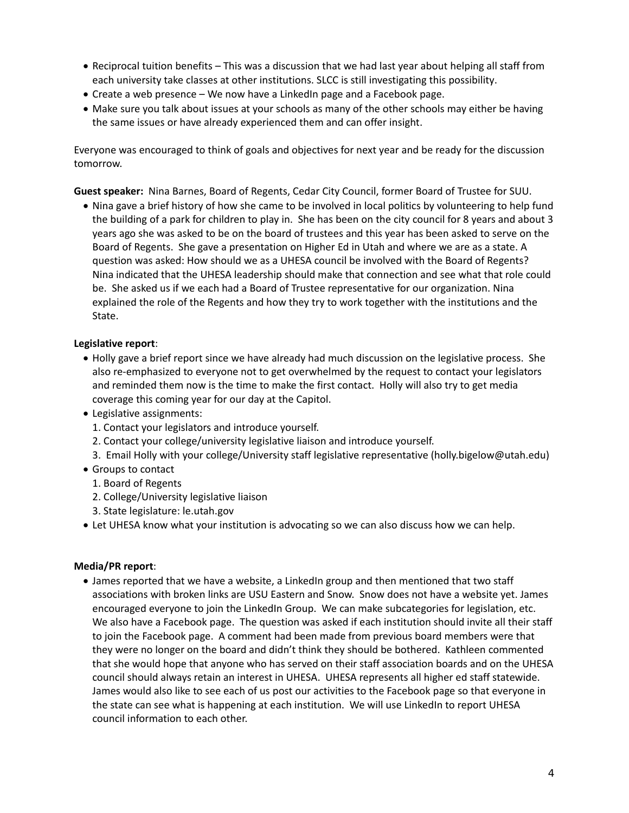- Reciprocal tuition benefits This was a discussion that we had last year about helping all staff from each university take classes at other institutions. SLCC is still investigating this possibility.
- Create a web presence We now have a LinkedIn page and a Facebook page.
- Make sure you talk about issues at your schools as many of the other schools may either be having the same issues or have already experienced them and can offer insight.

Everyone was encouraged to think of goals and objectives for next year and be ready for the discussion tomorrow.

**Guest speaker:** Nina Barnes, Board of Regents, Cedar City Council, former Board of Trustee for SUU.

• Nina gave a brief history of how she came to be involved in local politics by volunteering to help fund the building of a park for children to play in. She has been on the city council for 8 years and about 3 years ago she was asked to be on the board of trustees and this year has been asked to serve on the Board of Regents. She gave a presentation on Higher Ed in Utah and where we are as a state. A question was asked: How should we as a UHESA council be involved with the Board of Regents? Nina indicated that the UHESA leadership should make that connection and see what that role could be. She asked us if we each had a Board of Trustee representative for our organization. Nina explained the role of the Regents and how they try to work together with the institutions and the State.

# **Legislative report**:

- Holly gave a brief report since we have already had much discussion on the legislative process. She also re‐emphasized to everyone not to get overwhelmed by the request to contact your legislators and reminded them now is the time to make the first contact. Holly will also try to get media coverage this coming year for our day at the Capitol.
- Legislative assignments:
	- 1. Contact your legislators and introduce yourself.
	- 2. Contact your college/university legislative liaison and introduce yourself.
	- 3. Email Holly with your college/University staff legislative representative (holly.bigelow@utah.edu)
- Groups to contact
	- 1. Board of Regents
	- 2. College/University legislative liaison
	- 3. State legislature: le.utah.gov
- Let UHESA know what your institution is advocating so we can also discuss how we can help.

## **Media/PR report**:

 James reported that we have a website, a LinkedIn group and then mentioned that two staff associations with broken links are USU Eastern and Snow. Snow does not have a website yet. James encouraged everyone to join the LinkedIn Group. We can make subcategories for legislation, etc. We also have a Facebook page. The question was asked if each institution should invite all their staff to join the Facebook page. A comment had been made from previous board members were that they were no longer on the board and didn't think they should be bothered. Kathleen commented that she would hope that anyone who has served on their staff association boards and on the UHESA council should always retain an interest in UHESA. UHESA represents all higher ed staff statewide. James would also like to see each of us post our activities to the Facebook page so that everyone in the state can see what is happening at each institution. We will use LinkedIn to report UHESA council information to each other.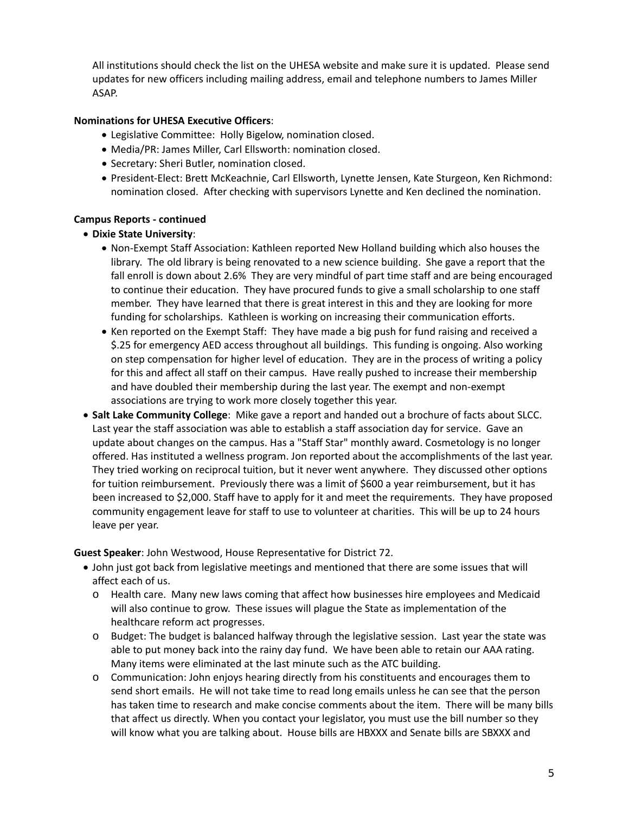All institutions should check the list on the UHESA website and make sure it is updated. Please send updates for new officers including mailing address, email and telephone numbers to James Miller ASAP.

# **Nominations for UHESA Executive Officers**:

- Legislative Committee: Holly Bigelow, nomination closed.
- Media/PR: James Miller, Carl Ellsworth: nomination closed.
- Secretary: Sheri Butler, nomination closed.
- President‐Elect: Brett McKeachnie, Carl Ellsworth, Lynette Jensen, Kate Sturgeon, Ken Richmond: nomination closed. After checking with supervisors Lynette and Ken declined the nomination.

# **Campus Reports ‐ continued**

# **Dixie State University**:

- Non-Exempt Staff Association: Kathleen reported New Holland building which also houses the library. The old library is being renovated to a new science building. She gave a report that the fall enroll is down about 2.6% They are very mindful of part time staff and are being encouraged to continue their education. They have procured funds to give a small scholarship to one staff member. They have learned that there is great interest in this and they are looking for more funding for scholarships. Kathleen is working on increasing their communication efforts.
- Ken reported on the Exempt Staff: They have made a big push for fund raising and received a \$.25 for emergency AED access throughout all buildings. This funding is ongoing. Also working on step compensation for higher level of education. They are in the process of writing a policy for this and affect all staff on their campus. Have really pushed to increase their membership and have doubled their membership during the last year. The exempt and non‐exempt associations are trying to work more closely together this year.
- **Salt Lake Community College**: Mike gave a report and handed out a brochure of facts about SLCC. Last year the staff association was able to establish a staff association day for service. Gave an update about changes on the campus. Has a "Staff Star" monthly award. Cosmetology is no longer offered. Has instituted a wellness program. Jon reported about the accomplishments of the last year. They tried working on reciprocal tuition, but it never went anywhere. They discussed other options for tuition reimbursement. Previously there was a limit of \$600 a year reimbursement, but it has been increased to \$2,000. Staff have to apply for it and meet the requirements. They have proposed community engagement leave for staff to use to volunteer at charities. This will be up to 24 hours leave per year.

**Guest Speaker**: John Westwood, House Representative for District 72.

- John just got back from legislative meetings and mentioned that there are some issues that will affect each of us.
	- o Health care. Many new laws coming that affect how businesses hire employees and Medicaid will also continue to grow. These issues will plague the State as implementation of the healthcare reform act progresses.
	- o Budget: The budget is balanced halfway through the legislative session. Last year the state was able to put money back into the rainy day fund. We have been able to retain our AAA rating. Many items were eliminated at the last minute such as the ATC building.
	- o Communication: John enjoys hearing directly from his constituents and encourages them to send short emails. He will not take time to read long emails unless he can see that the person has taken time to research and make concise comments about the item. There will be many bills that affect us directly. When you contact your legislator, you must use the bill number so they will know what you are talking about. House bills are HBXXX and Senate bills are SBXXX and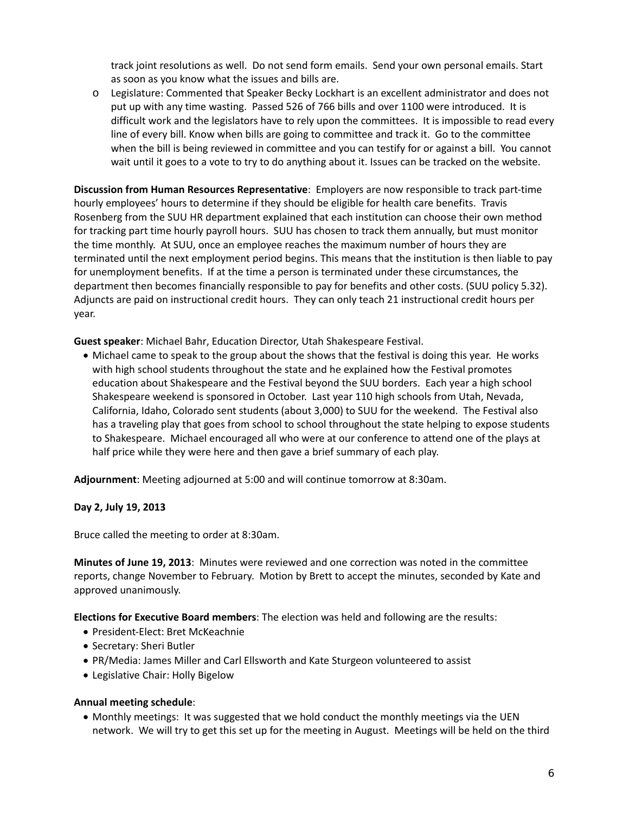track joint resolutions as well. Do not send form emails. Send your own personal emails. Start as soon as you know what the issues and bills are.

o Legislature: Commented that Speaker Becky Lockhart is an excellent administrator and does not put up with any time wasting. Passed 526 of 766 bills and over 1100 were introduced. It is difficult work and the legislators have to rely upon the committees. It is impossible to read every line of every bill. Know when bills are going to committee and track it. Go to the committee when the bill is being reviewed in committee and you can testify for or against a bill. You cannot wait until it goes to a vote to try to do anything about it. Issues can be tracked on the website.

**Discussion from Human Resources Representative**: Employers are now responsible to track part‐time hourly employees' hours to determine if they should be eligible for health care benefits. Travis Rosenberg from the SUU HR department explained that each institution can choose their own method for tracking part time hourly payroll hours. SUU has chosen to track them annually, but must monitor the time monthly. At SUU, once an employee reaches the maximum number of hours they are terminated until the next employment period begins. This means that the institution is then liable to pay for unemployment benefits. If at the time a person is terminated under these circumstances, the department then becomes financially responsible to pay for benefits and other costs. (SUU policy 5.32). Adjuncts are paid on instructional credit hours. They can only teach 21 instructional credit hours per year.

**Guest speaker**: Michael Bahr, Education Director, Utah Shakespeare Festival.

 Michael came to speak to the group about the shows that the festival is doing this year. He works with high school students throughout the state and he explained how the Festival promotes education about Shakespeare and the Festival beyond the SUU borders. Each year a high school Shakespeare weekend is sponsored in October. Last year 110 high schools from Utah, Nevada, California, Idaho, Colorado sent students (about 3,000) to SUU for the weekend. The Festival also has a traveling play that goes from school to school throughout the state helping to expose students to Shakespeare. Michael encouraged all who were at our conference to attend one of the plays at half price while they were here and then gave a brief summary of each play.

**Adjournment**: Meeting adjourned at 5:00 and will continue tomorrow at 8:30am.

# **Day 2, July 19, 2013**

Bruce called the meeting to order at 8:30am.

**Minutes of June 19, 2013**: Minutes were reviewed and one correction was noted in the committee reports, change November to February. Motion by Brett to accept the minutes, seconded by Kate and approved unanimously.

**Elections for Executive Board members**: The election was held and following are the results:

- President‐Elect: Bret McKeachnie
- Secretary: Sheri Butler
- PR/Media: James Miller and Carl Ellsworth and Kate Sturgeon volunteered to assist
- Legislative Chair: Holly Bigelow

## **Annual meeting schedule**:

• Monthly meetings: It was suggested that we hold conduct the monthly meetings via the UEN network. We will try to get this set up for the meeting in August. Meetings will be held on the third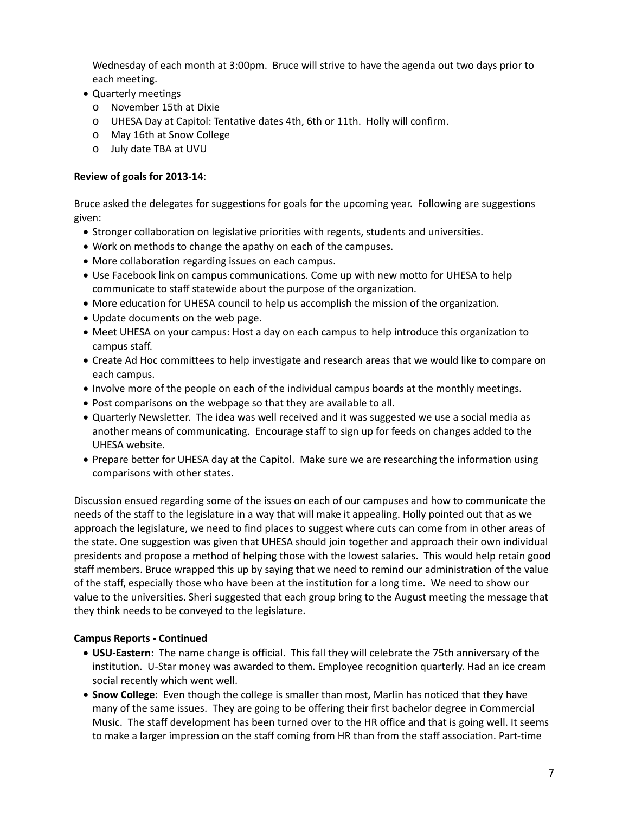Wednesday of each month at 3:00pm. Bruce will strive to have the agenda out two days prior to each meeting.

- Quarterly meetings
	- o November 15th at Dixie
	- o UHESA Day at Capitol: Tentative dates 4th, 6th or 11th. Holly will confirm.
	- o May 16th at Snow College
	- o July date TBA at UVU

# **Review of goals for 2013‐14**:

Bruce asked the delegates for suggestions for goals for the upcoming year. Following are suggestions given:

- Stronger collaboration on legislative priorities with regents, students and universities.
- Work on methods to change the apathy on each of the campuses.
- More collaboration regarding issues on each campus.
- Use Facebook link on campus communications. Come up with new motto for UHESA to help communicate to staff statewide about the purpose of the organization.
- More education for UHESA council to help us accomplish the mission of the organization.
- Update documents on the web page.
- Meet UHESA on your campus: Host a day on each campus to help introduce this organization to campus staff.
- Create Ad Hoc committees to help investigate and research areas that we would like to compare on each campus.
- Involve more of the people on each of the individual campus boards at the monthly meetings.
- Post comparisons on the webpage so that they are available to all.
- Quarterly Newsletter. The idea was well received and it was suggested we use a social media as another means of communicating. Encourage staff to sign up for feeds on changes added to the UHESA website.
- Prepare better for UHESA day at the Capitol. Make sure we are researching the information using comparisons with other states.

Discussion ensued regarding some of the issues on each of our campuses and how to communicate the needs of the staff to the legislature in a way that will make it appealing. Holly pointed out that as we approach the legislature, we need to find places to suggest where cuts can come from in other areas of the state. One suggestion was given that UHESA should join together and approach their own individual presidents and propose a method of helping those with the lowest salaries. This would help retain good staff members. Bruce wrapped this up by saying that we need to remind our administration of the value of the staff, especially those who have been at the institution for a long time. We need to show our value to the universities. Sheri suggested that each group bring to the August meeting the message that they think needs to be conveyed to the legislature.

## **Campus Reports ‐ Continued**

- **USU‐Eastern**: The name change is official. This fall they will celebrate the 75th anniversary of the institution. U‐Star money was awarded to them. Employee recognition quarterly. Had an ice cream social recently which went well.
- **Snow College**: Even though the college is smaller than most, Marlin has noticed that they have many of the same issues. They are going to be offering their first bachelor degree in Commercial Music. The staff development has been turned over to the HR office and that is going well. It seems to make a larger impression on the staff coming from HR than from the staff association. Part‐time